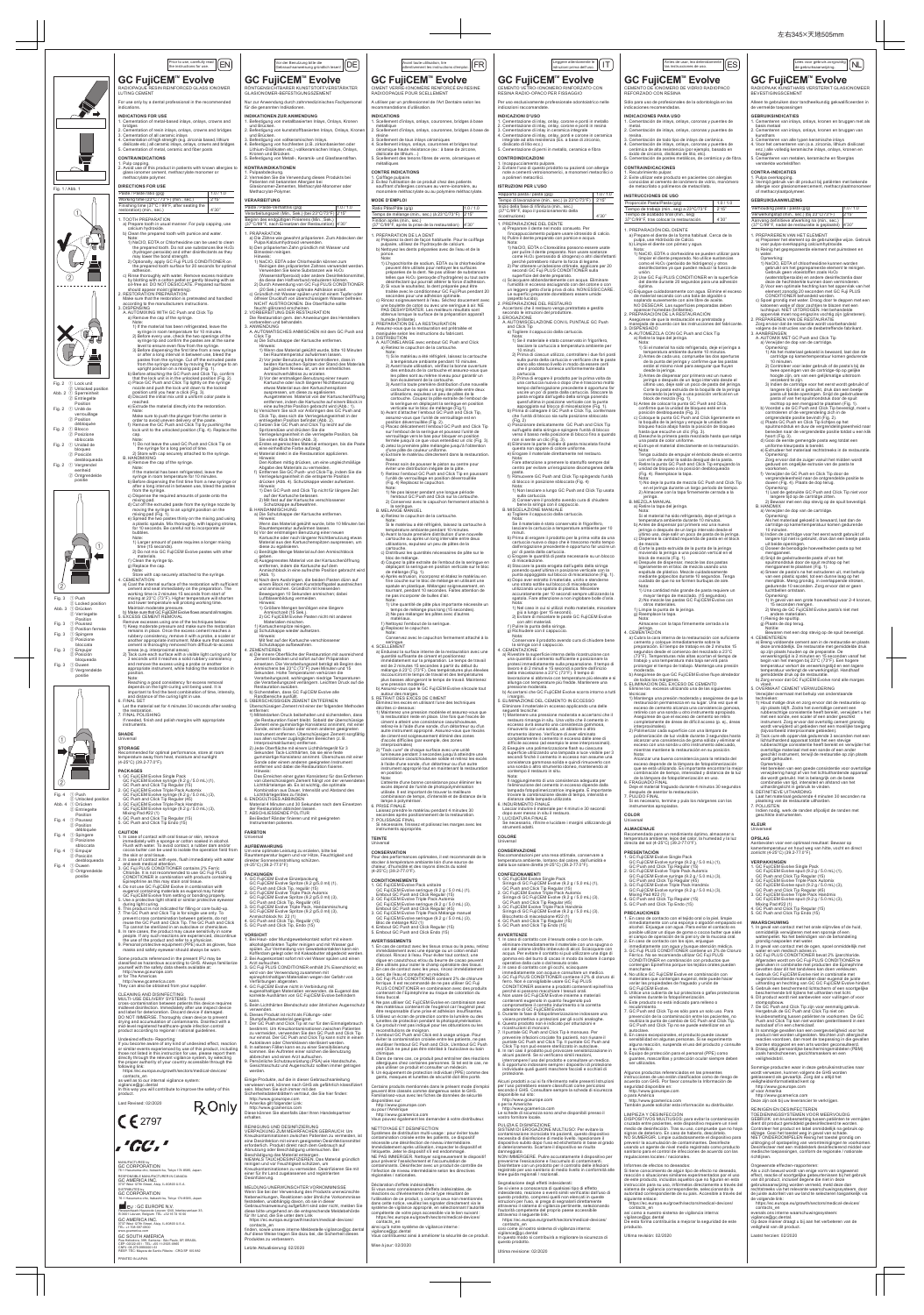**COLOR** Universal **ALMACENAJE**<br>Recomendado para un rendimiento óptimo, almacenar a<br>temperatura ambiente, lejos del calor, la humedad y la luz<br>directa del sol (4-25°C) (39.2-77.0°F). **PRESENTACIÓN** 1. GC FujiCEM Evolve Single Pack GC FujiCEM Evolve syringe (9.2 g / 5.0 mL) (1), GC Push and Click Tip Regular (15) 2. GC FujiCEM Evolve Triple Pack Automix GC FujiCEM Evolve syringe (9.2 g / 5.0 mL) (3) GC Push and Click Tip Regular (45)<br>3. GC FujiCEM Evolve Triple Pack Handmix<br>GC FujiCEM Evolve syringe (9.2 g / 5.0 mL) (3),<br>Mixing Pad #22 (1)<br>4. GC Push and Click Tip Regular (15)<br>5. GC Push and Click Tip Endo (15) Raccomandazioni per una resa ottimale, conservare a temperatura ambiente, lontano dal calore, dall'umidità e dalla luce solare diretta (4-25°C) (39.2-77.0°F). SC FujiCEM Evolve Single Pack<br>1. GC FujiCEM Evolve Single Pack<br>1. Siringa di GC FujiCEM Evolve (9,2 g / 5,0 mL) (1),

> el campo de operación de la piel o/y de la mucosa oral.<br>2. En caso de contatoto con los ojos, enjuague<br>inmediatamente con agua y busque atención médica.<br>3. GC Fuji PLUS CONDITIONER contiene un 2% de Cloruro<br>Férrico. No se contengan Epinefrina porque los tejidos orales pueden mancharse. 4. No utilice GC FujiCEM Evolve en combinación con materiales que contengan eugenol, éste puede hacer variar las propiedades de fraguado y unión de GC FujiCEM Evolve. 5. Utilice una cubierta de luz protectora o gafas protectoras similares durante la fotopolimerización. 6. Este producto no está indicado para relleno o recubrimiento. 7. GC Push and Click Tip es sólo para un solo uso. Para prevención de la contaminación entre los pacientes, no reutiliza la punta de cambio de GC Push and Click Tip. GC Push and Click Tip no se puede esterilizar en un autoclave. 8. En casos excepcionales, el producto puede causar sensibilidad en algunas personas. Si se experimenta alguna reacción, suspenda el uso del producto y consulte

Nota: Alcanzar una buena consistencia para la retirada del

2) Eseguire una polimerizzazione flash su ciascuna<br>superficie utilizzando una lampada a luce visibile per 3<br>secondi finché il cemento in eccesso non assume una<br>consistenza gommosa solida e quindi rimuoverlo con<br>una sonda o contempo il restauro in situ.

a su médico. 9. Equipo de protección para el personal (PPE) como guantes, mascarillas y protección ocular siempre deben ser utilizados.

Algunos productos referenciados en las presentes<br>instrucciones de uso están clasificados como de riesgo de<br>acuerdo con GHS. Por favor consulte la Información de<br>seguridad disponible en:<br>http://www.geourope.com<br>para América

Siringa di GC FujiCEM Evolve (9,2 g / 5,0 mL) (1),<br>CC Push and Click Tip Regular (15)<br>2. GC FujiCEM Evolve Triple Pack Automix<br>Siringa di GC FujiCEM Evolve (9,2 g / 5,0 mL) (3),<br>GC Push and Click Tip Regular (45)<br>GC FujiCE Blocchetto di miscelazione #22 (1) 4. GC Push and Click Tip Regular (15) 5. GC Push and Click Tip Endo (15)

1. In caso di contatto con il tessuto orale o con la cute, eliminare immediatamente il materiale con una spugna o<br>con del cotone idrofilo imbevuto di alcol. Sciacquare con<br>acqua. Per evitare il contatto si può utilizzare una diga di<br>gomma e/o del burro di cacao in modo da isolare 2. In caso di contatto con gli occhi, sciacquare<br>
ai mmediatamente con acqua e consultare un medico.<br>
3. GC Fuji PLUS CONDITIONER contiene il 2% di cloruro di<br>
ferro. Non è consigliabile usare GC Fuji PLUS<br>
CONDITIONER ass

http://www.gcamerica.com

También puede solicitar esta información su distribuidor.

LIMPIEZA Y DESINFECCION<br>CIDEPOSITY DESINFECCION<br>CIDEPOSITY (DESINFECCION prequiere un nivel<br>medio de desinfección. Tras su uso, compruebe que nivel<br>medio de desinfección. Tras su uso, compruebe que no haya<br>signos de deteri

Informes de efectos no deseados:<br>Si tiene conocimiento de algún tipo de efecto no deseado,<br>reacción o situaciones similares experimentados por el uso<br>de este producto, incluidos aquellos que no figuran en esta<br>instrucción

sistema de vigilancia correspondiente, seleccionando la<br>autoridad correspondiente de su país. Accesible a través del<br>siguiente enlace:<br>thtps://ec.europa.eu/growth/sectors/medical-devices/<br>contacts\_en<br>así como a nuestro sis

regulaciones locales / nacionales.

ricostruzioni di monoconi.<br>7. Il puntale GC Push and Click Tip è monouso. Per<br>prevenire infezioni crociate fra pazienti, non riusare il<br>puntale GC Push and Click Tip. Il puntale GC Push and<br>Click Tip non può essere sterili 9. È opportuno indossare sempre i dispositivi di protezione individuale quali guanti maschere facciali e occhiali di

Alcuni prodotti a cui si fa riferimento nelle presenti Istruzioni per l'uso potrebbero essere classificati come pericolosi secondo il GHS. Consultare sempre la scheda di sicurezza disponibile sul sito

http://www.gceurope.com<br>ner le Americhe

o per le Americhe http://www.gcamerica.com Le schede di sicurezza sono anche disponibili presso il vostro fornitore locale. PULIZIA E DISINFEZIONE<br>SISTEM IDI EROGAZIONE MULTIUSO: Per evitare la<br>contaminazione incrociata tra pazienti, questo dispositivo<br>necessita di disinfezione di medio livello. Ispezionare il<br>dispositivo subito dopo l'uso ed e danneggiato.<br>NON IMMERGERE. Pulire accuratamente il dispositivo per<br>prevenime l'essicazione e l'accumulo di contaminanti.<br>Disinfettare con un prodotto per il controllo delle infezioni<br>registrato per uso sanitario di medio

vigilance@gc.dental De esta forma contribuirás a mejorar la seguridad de este producto.

Ultima revisión: 02/2020

Segnalazione degli effetti indesiderati:<br>Se si viene a conoscenza di qualsiasi tipo di effetto<br>indesiderato, reazione o eventi simili verificatisi dall'uso di<br>questo prodotto, compresi quelli non elencati in queste<br>istruzi https://ec.europa.eu/growth/sectors/medical-devices/ contacts\_en così come al nostro sistema di vigilanza interna: vigilance@gc.dental In questo modo si contribuirà a migliorare la sicurezza di questo prodotto.

 Nota: Il raggiungimento di una consistenza adeguata per l'eliminazione del cemento in eccesso dipende dalla lampada fotopolimerizzatrice impiegata. È importante trovare la combinazione ideale di tempo, intensità e distanza della lampada utilizzata. 6. INDURIMENTO FINALE Lasciar indurire il materiale per 4 minuti e 30 secondi dopo aver messo in situ il restauro. 7. LUCIDATURA FINALE Se necessario, rifinire e lucidare i margini utilizzando gli strumenti adatti.

**COLORE**

## Universal **CONSERVAZIONE**

**CONFEZIONAMENTI**

## **AVVERTENZE**

visiera protettiva o protezioni per gli occhi analoghe. 6. Questo prodotto non è indicato per otturazioni e

protezione.

2) Jede Oberfläche mit einem Lichthärtegerät für 3<br>Sekunden Tack-Lichthärten, bis sie eine feste<br>gummiartige Konsistenz annimmt. Überschuss mit einer<br>Sonde oder einem anderen geeigneten Instrument<br>entfernen und dabei die R  $\Rightarrow$ 运 Recommended for optimal performance, store at room temperature away from heat, moisture and sunlight ature away fron<br>:) (39.2-77.0°F) **PACKAGES** Hinweis:<br>Consistence Tom Consistenz für das Entfernen<br>von überschüssigem Zement hängt von der verwendeten<br>Lichthärtelampe ab. Es ist wichtig, die optimale<br>Kombination aus Dauer, Intensität und Abstand des<br>Lichthärtegerätes 1. GC FujiCEM Evolve Single Pack<br>GC FujiCEM Evolve syring (9.2 g / 5.0 mL) (1),<br>GC Pujsh and Click Tip Regular (15)<br>2. GC FujiCEM Evolve Triple Pack Automix<br>GC FujiCEM Evolve syring (9.2 g / 5.0 mL) (3),<br>GC FujiCEM Evolve  $\circled{2}$ Fig. 4 ① Push  $\widetilde{2}$  Unlocked pos Abb. 4 ① Drücken Material 4 Minuten und 30 Sekunden nach dem Einsetzen 3. GC FujiCEM Evolve Triple Pack Handmix GC FujiCEM Evolve syringe (9.2 g / 5.0 mL) (3), Mixing Pad #22 (1) 4. GC Push and Click Tip Regular (15) 5. GC Push and Click Tip Endo (15) ② Entriegelte der Restauration abbinden lassen. 7. ABSCHLIESSENDE POLITUR Bei Bedarf Ränder finieren und mit geeigneten Instrumenten polieren. Position Fig. 4 ① Poussez ② Position débloquée **FARBTON** CAUTION<br>1. In case of contact with oral tissue or skin, remove<br>1. Immediately with a sponge or cotton soaked in alcohol.<br>1. Flush with water. To avoid contact, a rubber dam and/or<br>cocoa butter can be used to isolate the op Fig. 4 ① Spingere ② Posizione Universal sbloccata **AUFBEWAHRUNG**<br>Um eine optimale Leistung zu erzielen, bitte bei<br>Raumtemperatur lagern und vor Hitze, Feuchtigkeit und Fig. 4 ① Empujar ② Posición the skin or oral tissue. 2. In case of contact with eyes, flush immediately with water and seek medical attention. 3. GC Fuji PLUS CONDITIONER contains 2% Ferric desbloqueada direkter Sonneneinstrahlung schützen. (4-25°C) (39.2-77.0°F) Fig. 4 ① Duwen ② Ontgrendelde Chloride. It is not recommended to use GC Fuji PLUS CONDITIONER in combination with products containing Epinephrine as this may stain oral tissue. 4. Do not use GC FujiCEM Evolve in combination with **PACKUNGEN** positie 1. GC FujiCEM Evolve Einzelpackung GC FujiCEM Evolve Spritze (9,2 g/5,0 ml) (1), GC Push and Click Tip, regulär (15)<br>2. GC FujiCEM Evolve Triple Pack Automix<br>GC FujiCEM Evolve Spritze (9,2 g/5,0 ml) (3),<br>GC Push and Click Tip, Regulär (45)<br>3. GC FujiCEM Evolve Triple Pack, Handanmischung<br>GC FujiCEM Evo eugenol containing materials as eugenol may hinder<br>GC FujiCEM Evolve from setting or bonding properly.<br>5. Use a protective light shield or similar protective eyewear<br>during light curing.<br>6. This product is not indicated fo Anmischblock Nr. 22 (1) 4. GC Push and Click Tip, Regulär (15) 5. GC Push and Click Tip, Endo (15) prevent cross contamination between patients, do not<br>reuse the GC Push and Click Tip. The GC Push and Click<br>Tip cannot be sterilized in an autoclave or chemiclave.<br>B. In rare cases, the product may cause sensitivity in som **VORSICHT** 1. Bei Haut- oder Mundgewebekontakt sofort mit einem alkoholgetränkten Tupfer reinigen und mit Wasser gut<br>spülen. Zur Vermeidung von Gewebekontakten kann ein<br>Kofferdam gelegt oder mit Kakaobutter abgedeckt werden.<br>2. Bei Augenkontakt sofort mit viel Waser spülen und einen masks and safety eyewear should always be wor Some products referenced in the present IFU may be classified as hazardous according to GHS. Always familiarize yourself with the safety data sheets available at: Arzt aufsuchen. 3. GC Fuji PLUS CONDITIONER enthält 2% Eisenchlorid; es http://www.gceurope.com or for The Americas wird von der Verwendung zusammen mit epinephrinhaltigen Materialien wegen der Gefahr von http://www.gcamerica.com They can also be obtained from your supplier. Verfärbungen abgeraten. 4. GC FujiCEM Evolve nicht in Verbindung mit eugenolhaltigen Materialien verwenden, da Eugenol das korrekte Aushärten von GC FujiCEM Evolve behindern CLEANING AND DISINFECTING:<br>MULTI-USE DELIVERY SYSTEMS: To avoid<br>cross-contamination between patients this device requires<br>midlevel disinfection. Inmediately after use inspect device<br>midlevel disinfection. Inmediately after kann. 5. Beim Lichthärten Blendschutz oder ähnlichen Augenschutz verwenden. 6. Dieses Produkt ist nicht als Füllungs- oder Stumpfaufbaumaterial geeignet. 7. Der GC Push and Click Tip ist nur für den Einmalgebrauch bestimmt. Um Kreuzkontaminationen zwischen Patienten<br>zu vermeiden, verwenden Sie den GC Push and Click Tip<br>nur einmal. Der GC Push and Click Tip kann nicht in einem<br>Autoklaven oder Chemiklaven sterilisiert werden.<br>8. In se Undesired effects - Reporting:<br>
Undesired effect, reaction<br>
Uf you become aware of any kind of undesired effect, reaction<br>
or similar events experienced by use of this product, including<br>
those not listed in this instructi abbrechen und einen Arzt aufsuchen. 9. Persönliche Schutzausrüstung (PSA) wie Handschuhe, Gesichtsschutz und Augenschutz sollten immer getragen werden. Einige Produkte, auf die in dieser Gebrauchsanleitung verwiesen wird, können nach GHS als gefährlich klassifiziert<br>sein. Machen Sie sich immer mit den<br>Sicherheitsdatenblättern vertraut, die Sie hier finden: In this way you will contribute to improve the safety of this product. http://www.gceurope.com In Amerika gilt folgender Link: http://www.gcamerica.com Last Revised: 02/2020 **R** Only Diese können Sie ebenfalls über Ihren Handelspartner  $C \epsilon$  2797 erhalten. REINIGUNG UND DESINFIZIERUNG VERPACKUNG ZUM MEHRFACHEN GEBRAUCH: Um Kreuzkontaminationen zwischen Patienten zu vermeiden, ist<br>eine Desinfektion mit einem geeigneten Desinfektionsmittel<br>erinderlich. Produkt direkt nach dem Gebrauch auf<br>Abnutzung oder Beschädigung untersuchen. Bei<br>Beschädigu .'GC.' MANUFACTURED by GC CORPORATION Kreuzkontaminationen zu vermeiden. Desinfizieren Sie mit einer für Ihr Land zugelassenen und registrierten Desinfizierung. 76-1 Hasunuma-cho, Itabashi-ku, Tokyo 174-8585, Japan RESPONSIBLE MANUFACTURER IN CANADA: GC AMERICA INC. 3737 West 127th Street, Alsip, IL 60803 U.S.A. MELDUNG UNERWÜNSCHTER VORKOMMISSE<br>Wenn Sie bei der Verwendung des Produkts unerwünschte<br>Nehenwirkungen, Reaktionen oder ähnliche Vorkommnisse<br>feststellen, unabhängig davon, ob sie in dieser<br>Gebrauchsanweisung aufgeführt si DISTRIBUTED by GC CORPORATION 76-1 Hasunuma-cho, Itabashi-ku, Tokyo 174-8585, Japan EU : GC EUROPE N.V. Researchpark Haasrode-Leuven 1240, Interleuvenlaan 33, B-3001 Leuven, Belgium TEL: +32 16 74 10 00 https://ec.europa.eu/growth/sectors/medical-devices GC AMERICA INC. 3737 West 127th Street, Alsip, IL 60803 U.S.A. TEL: +1-708-597-0900 www.gcamerica.com contacts\_en finden, sowie unsere interne Meldestelle vigilance@gc.dental Auf diese Weise tragen Sie dazu bei, die Sicherheit dieses Produktes zu verbessern.  $\rm{GG}$  SOUTH AMERICA<br>Rua Heliodora, 399, Santana - São Paulo, SP, BRASIL<br>CEP: 02022-051 - TEL: +55-11-2925-0965<br>CNPJ: 09.279.999/0001-61<br>RESP. TÉC: Mayara de Santis Ribeiro - CRO/SP 105.982 Letzte Aktualisierung: 02/2020

Ultima revisione: 02/2020

exceso depende de la lámpara de fotopolimenización<br>que se está utilizando. Es importante encontrar la mejor<br>combinación de tiempo, intensidad y distancia de la luz<br>de la lámpara de fotopolimerización en uso.<br>6. FRAGUADO FI 7. PULIDO FINAL Si es necesario, termine y pula los márgenes con los instrumentos apropiados. Opmerking:<br>
Het bereiken van een goede consistentie voor overtollige<br>
verwijdering hangt af van het lichtuithardende apparaat<br>
die wordt gebruikt. Het is belangrijk om de beste<br>
combinatie van tijd, intensiteit en afstand

**PRECAUCIONES**<br>1. En caso de contacto con el tejido oral o la piel, limpie<br>inmediatamente con una esponja o algodón empapado en<br>alcohol. Enjuague con agua. Para evitar el contacto es<br>posible utilizar un dique de goma o coc

**VERPAKKINGEN<br>1. GC FujiCEM Evolve Single Pack<br>GC FujiCEM Evolve spuit (9.2 g / 5.0 mL) (1),<br>GC Push and Click Tip Regular (15)** 2. GC FujiCEM Evolve Triple Pack Automix<br>GC FujiCEM Evolve spuit (9.2 g / 5.0 mL) (3),<br>GC Push and Click Tip Regular (45)<br>3. GC FujiCEM Evolve Triple Pack Handmix<br>GC FujiCEM Evolve spuit (9.2 g / 5.0 mL) (3), Mixing Pad #22 (1) 4. GC Push and Click Tip Regular (15) 5. GC Push and Click Tip Endo (15)

Ongewenste effecten-rapporteren:<br>Als u zich bewust wordt van enige vorm van ongewenst<br>effect, reactie of soortgelijke gebeurtenissen bij het gebruik<br>van dit product, inclusief degene die niet in deze<br>gebruiksaanwijzing wor rechtstreeks via het relevante waarschuwingssysteem, door de juiste autoriteit van uw land te selecteren toegankelijk via de volgende link: https://ec.europa.eu/growth/sectors/medical-devices/ contacts\_en evenals ons interne waarschuwingssysteem: vigilance@gc.dental. Op deze manier draagt u bij aan het verbeteren van de veiligheid van dit product.



à l'aide d'une sonde, d'un détartreur ou d'un autre instrument approprié tout en maintenant la restauration en position Note: L'atteinte d'une bonne consistance pour éliminer les excès dépend de l'unité de photopolymérisation utilisée. Il est important de trouver la meilleure combinaison de temps, d'intensité et de distance de la lampe à polymériser.<br>PRISE FINALE 6. PRISE FINALE Laissez prendre le matériau pendant 4 minutes 30 secondes après positionnement de la restauration. 7. POLISSAGE FINAL Si nécessaire, finissez et polissez les marges avec les instruments appropriés. **TEINTE** Universal **CONSERVATION**<br>Pour des performances optimales, il est recommandé de le<br>stocker à température ambiante loin d'une source de<br>chaleur, d'humidité et des rayons directs du soleil<br>(4-25°C) (39.2-77.0°F). CONDITIONNEMENTS<br>
1. GC FujiCEM Evolve Pack unitaire<br>
1. GC FujiCEM Evolve seringue (9.2 g / 5.0 mL) (1),<br>
Embout GC Push and Click Regular (15)<br>
2. GC FujiCEM Evolve Triple Pack Automix<br>
6C FujiCEM Evolve seringue (9.2 g F. Embout GOT as and Click Regular<br>5. Embout GC Push and Click Endo (15) AVERTISSEMENTS<br>1. En cas de contact avec les tissus oraux ou la peau, retirez<br>i immédiatement avec une éponge ou un coton enduit<br>d'alcool. Rincez à l'eau. Pour éviter tout contact, une<br>digue en caoutchouc et/ou du beurre d être utilisés pour isoler le champ opératoire des tissus.<br>2. En cas de contact avec les yeux, rincez immédiatement<br>avec de l'eau et consulter un médecin.<br>3. GC Fuji PLUS CONDITIONER contient 2% de chlorure<br>ferrique. Il les contenant de l'Epinéphrine au risque de coloration du tissu buccal.<br>4. Ne pas utiliser GC FujiCEM Evolve en combinaison avec<br>des matériaux contenant de l'eugénol car l'eugénol peut<br>étre responsable d'une prise et adhésion insuffisantes.<br>5. Utilisez un écran de protection cont lunettes de protection pendant la photopolymérisation.<br>6. Ce produit n'est pas indiqué pour les obturations ou les<br>reconstitutions de moignon.<br>7. L'embout GC Push and Click est à usage unique. Pour<br>éviter la contamination réutiliser l'embout GC Push and Click. L'embout GC Push and Click ne peut pas être stérilisé à l'autoclave ou bain chimique.<br>8. Dans de rares cas, ce produit peut entraîner des réactions<br>allergiques chez certaines personnes. Si tel est le cas, ne<br>plus utiliser ce produit et consulter un médecin.<br>9. Un équipement de protection individue gants, masques et lunettes de sécurité doit être porté. Certains produits mentionnés dans le présent mode d'emploi peuvent être classés comme dangereux selon le GHS. Familiarisez-vous avec les fiches de données de sécurité disponibles sur: http://www.gceurope.com ou pour l'Amérique http://www.gcamerica.com Vous pouvez également les demander à votre distributeur. NETTOYAGE ET DESINFECTION<br>Systèmes de distribution multi-usage : pour éviter toute<br>contamination croisée entre les patients, ce dispositif<br>enécessite une désinfection de niveau intermédiaire.<br>Immédiatement après utilisatio Déclaration d'effets indésirables : Si vous avez connaissance d'effets indésirables, de<br>réactions ou d'événements de ce type résultant de<br>l'utilisation de ce produit, y compris ceux non mentionnés<br>dans cette notice, veuillez les signaler directement via le<br>s https://ec.europa.eu/growth/sectors/medical-devices/ contacts\_en ainsi qu'à notre système de vigilance interne : vigilance@gc.dental Vous contribuerez ainsi à améliorer la sécurité de ce produit. Mise à jour: 02/2020

 Laat het materiaal gedurende 4 minuten 30 seconden na plaatsing van de restauratie uitharden. 7. POLIJSTEN Indien nodig, werk de randen af/polijst de randen met geschikte instrumenten.

**KLEUR** Universeel

**OPSLAG**<br>Aanbevolen voor een optimaal resultaat: Bewaar op<br>kamertemperatuur en houd weg van hitte, vocht en direct<br>zonlicht (4-25°C) (39.2-77.0°F).

**WAARSCHUWING** 1. In geval van contact met het orale slijmvlies of de huid, onmiddellijk verwijderen met een sponsje of een

wattenpellet. Na het beëindigen van de behandeling<br>grondig naspoelen met water.<br>2. In geval van contact met de ogen, spoel onmiddellijk met<br>water en win medisch advies in.<br>3. GC Fuji PLUS CONDITIONER bevalt 2% ijzerchlorid

gebruiken in combinatie met producten die Epinephrine<br>bevatten daar dit het tandvlees kan doen verkleuren.<br>4. Gebruik GC FujiCEM Evolve niet in combinatie met<br>eugenol bevattende materialen daar eugenol de juiste<br>uitharding

beschermende bril tijdens het uitharden met licht. 6. Dit product wordt niet aanbevolen voor vullingen of voor

stompophouw.<br>To Be CPush and Click Tip zijn voor eenmalig gebruik.<br>Hergebruik de GC Push and Click Tip niet om<br>Kruisbesmetting tussen patienten te voorkomen. De GC<br>Push and Click Tip kan niet worden gesterliseerd in een<br>au

9. Draag altijd persoonlijke beschermingsmiddelen (PBM) zoals handschoenen, gezichtsmaskers en een veiligheidsbril.

Sommige producten waar in deze gebruiksinstructies naar wordt verwezen, kunnen volgens de GHS worden

geklasseerd als gevaarlijk. Zorg dat u altijd het veiligheidsinformatieblad kent op http://www.gceurope.com of voor Amerika http://www.gcamerica.com Deze zijn ook bij uw leverancier te verkrijgen.

REINIGEN EN DESINFECTEREN<br>TOEDIENINGSSYSTEMEN VOOR MEERVOUDIG<br>GEBRUIK: om kruisbesmetting tussen patiënten te vermijden<br>dient dit product gemiddeld gedesinfecteerd te worden.<br>Controleer het product en label onmiddellijk na slijtage. Gooi het toestel weg in geval van schade.<br>NIET ONDERDOMPELEN Reinig het toestel grondig om<br>uitdroging of opstapeling van verontreinigingen te voorkomen.<br>Desinfecteer met een middelsterk desinfecterend middel voor

Laatst herzien: 02/2020

PRINTED IN JAPAN